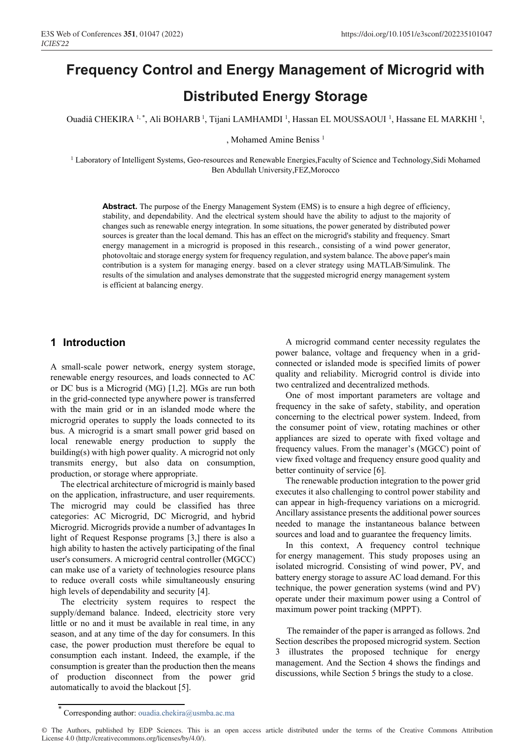# **Frequency Control and Energy Management of Microgrid with Distributed Energy Storage**

Ouadiâ CHEKIRA <sup>1,\*</sup>, Ali BOHARB<sup>1</sup>, Tijani LAMHAMDI<sup>1</sup>, Hassan EL MOUSSAOUI<sup>1</sup>, Hassane EL MARKHI<sup>1</sup>,

, Mohamed Amine Beniss<sup>1</sup>

<sup>1</sup> Laboratory of Intelligent Systems, Geo-resources and Renewable Energies,Faculty of Science and Technology,Sidi Mohamed Ben Abdullah University,FEZ,Morocco

Abstract. The purpose of the Energy Management System (EMS) is to ensure a high degree of efficiency, stability, and dependability. And the electrical system should have the ability to adjust to the majority of changes such as renewable energy integration. In some situations, the power generated by distributed power sources is greater than the local demand. This has an effect on the microgrid's stability and frequency. Smart energy management in a microgrid is proposed in this research., consisting of a wind power generator, photovoltaic and storage energy system for frequency regulation, and system balance. The above paper's main contribution is a system for managing energy. based on a clever strategy using MATLAB/Simulink. The results of the simulation and analyses demonstrate that the suggested microgrid energy management system is efficient at balancing energy.

## **1 Introduction**

A small-scale power network, energy system storage, renewable energy resources, and loads connected to AC or DC bus is a Microgrid (MG) [1,2]. MGs are run both in the grid-connected type anywhere power is transferred with the main grid or in an islanded mode where the microgrid operates to supply the loads connected to its bus. A microgrid is a smart small power grid based on local renewable energy production to supply the building(s) with high power quality. A microgrid not only transmits energy, but also data on consumption, production, or storage where appropriate.

The electrical architecture of microgrid is mainly based on the application, infrastructure, and user requirements. The microgrid may could be classified has three categories: AC Microgrid, DC Microgrid, and hybrid Microgrid. Microgrids provide a number of advantages In light of Request Response programs [3,] there is also a high ability to hasten the actively participating of the final user's consumers. A microgrid central controller (MGCC) can make use of a variety of technologies resource plans to reduce overall costs while simultaneously ensuring high levels of dependability and security [4].

The electricity system requires to respect the supply/demand balance. Indeed, electricity store very little or no and it must be available in real time, in any season, and at any time of the day for consumers. In this case, the power production must therefore be equal to consumption each instant. Indeed, the example, if the consumption is greater than the production then the means of production disconnect from the power grid automatically to avoid the blackout [5].

A microgrid command center necessity regulates the power balance, voltage and frequency when in a gridconnected or islanded mode is specified limits of power quality and reliability. Microgrid control is divide into two centralized and decentralized methods.

One of most important parameters are voltage and frequency in the sake of safety, stability, and operation concerning to the electrical power system. Indeed, from the consumer point of view, rotating machines or other appliances are sized to operate with fixed voltage and frequency values. From the manager's (MGCC) point of view fixed voltage and frequency ensure good quality and better continuity of service [6].

The renewable production integration to the power grid executes it also challenging to control power stability and can appear in high-frequency variations on a microgrid. Ancillary assistance presents the additional power sources needed to manage the instantaneous balance between sources and load and to guarantee the frequency limits.

In this context, A frequency control technique for energy management. This study proposes using an isolated microgrid. Consisting of wind power, PV, and battery energy storage to assure AC load demand. For this technique, the power generation systems (wind and PV) operate under their maximum power using a Control of maximum power point tracking (MPPT).

 The remainder of the paper is arranged as follows. 2nd Section describes the proposed microgrid system. Section 3 illustrates the proposed technique for energy management. And the Section 4 shows the findings and discussions, while Section 5 brings the study to a close.

Corresponding author: ouadia.chekira@usmba.ac.ma

<sup>©</sup> The Authors, published by EDP Sciences. This is an open access article distributed under the terms of the Creative Commons Attribution License 4.0 (http://creativecommons.org/licenses/by/4.0/).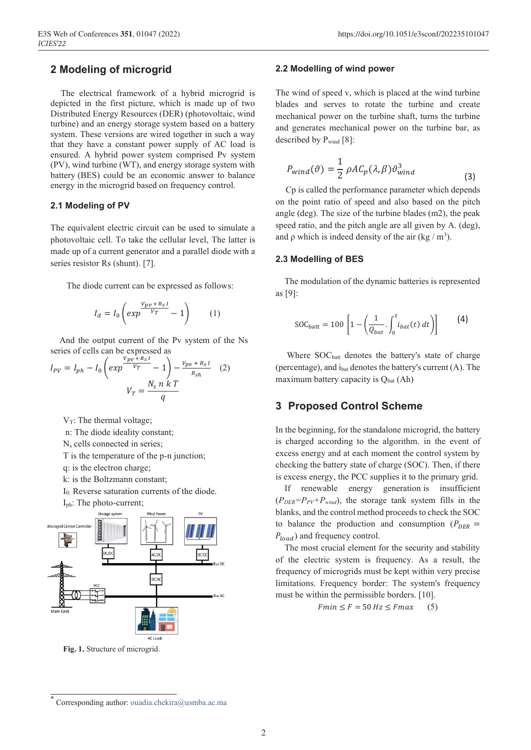## **2 Modeling of microgrid**

The electrical framework of a hybrid microgrid is depicted in the first picture, which is made up of two Distributed Energy Resources (DER) (photovoltaic, wind turbine) and an energy storage system based on a battery system. These versions are wired together in such a way that they have a constant power supply of AC load is ensured. A hybrid power system comprised Pv system (PV), wind turbine (WT), and energy storage system with battery (BES) could be an economic answer to balance energy in the microgrid based on frequency control.

#### **2.1 Modeling of PV**

The equivalent electric circuit can be used to simulate a photovoltaic cell. To take the cellular level, The latter is made up of a current generator and a parallel diode with a series resistor Rs (shunt). [7].

The diode current can be expressed as follows:

$$
I_d = I_0 \left( exp \frac{v_{pv} + R_S I}{v_T} - 1 \right) \tag{1}
$$

 And the output current of the Pv system of the Ns series of cells can be expressed as

$$
I_{PV} = I_{ph} - I_0 \left( exp \frac{v_{pp} + R_S I}{v_T} - 1 \right) - \frac{v_{pp} + R_S I}{R_{Sh}} \quad (2)
$$

$$
V_T = \frac{N_S n k T}{q}
$$

 $V_T$ : The thermal voltage;

n: The diode ideality constant;

N<sub>s</sub> cells connected in series;

T is the temperature of the p-n junction;

q: is the electron charge;

k: is the Boltzmann constant;

I0: Reverse saturation currents of the diode.

```
Iph: The photo-current;
```


**Fig. 1.** Structure of microgrid.

#### **2.2 Modelling of wind power**

The wind of speed v, which is placed at the wind turbine blades and serves to rotate the turbine and create mechanical power on the turbine shaft, turns the turbine and generates mechanical power on the turbine bar, as described by  $P_{wind}$  [8]:

$$
P_{wind}(\vartheta) = \frac{1}{2} \rho A C_p(\lambda, \beta) \vartheta_{wind}^3 \tag{3}
$$

Cp is called the performance parameter which depends on the point ratio of speed and also based on the pitch angle (deg). The size of the turbine blades (m2), the peak speed ratio, and the pitch angle are all given by A. (deg), and  $\rho$  which is indeed density of the air (kg / m<sup>3</sup>).

#### **2.3 Modelling of BES**

 The modulation of the dynamic batteries is represented as [9]:

$$
SOC_{\text{batt}} = 100 \left[ 1 - \left( \frac{1}{Q_{bat}} \int_0^t i_{bat}(t) \, dt \right) \right] \tag{4}
$$

Where SOC<sub>batt</sub> denotes the battery's state of charge (percentage), and  $i<sub>bat</sub>$  denotes the battery's current  $(A)$ . The maximum battery capacity is  $Q<sub>bat</sub>$  (Ah)

## **3 Proposed Control Scheme**

In the beginning, for the standalone microgrid, the battery is charged according to the algorithm. in the event of excess energy and at each moment the control system by checking the battery state of charge (SOC). Then, if there is excess energy, the PCC supplies it to the primary grid.

 If renewable energy generation is insufficient  $(P_{DER}=P_{PV}+P_{wind})$ , the storage tank system fills in the blanks, and the control method proceeds to check the SOC to balance the production and consumption ( $P_{DER}$  =  $P_{load}$ ) and frequency control.

 The most crucial element for the security and stability of the electric system is frequency. As a result, the frequency of microgrids must be kept within very precise limitations. Frequency border: The system's frequency must be within the permissible borders. [10].

 $Fmin \leq F = 50 Hz \leq Fmax$  (5)

Corresponding author: ouadia.chekira@usmba.ac.ma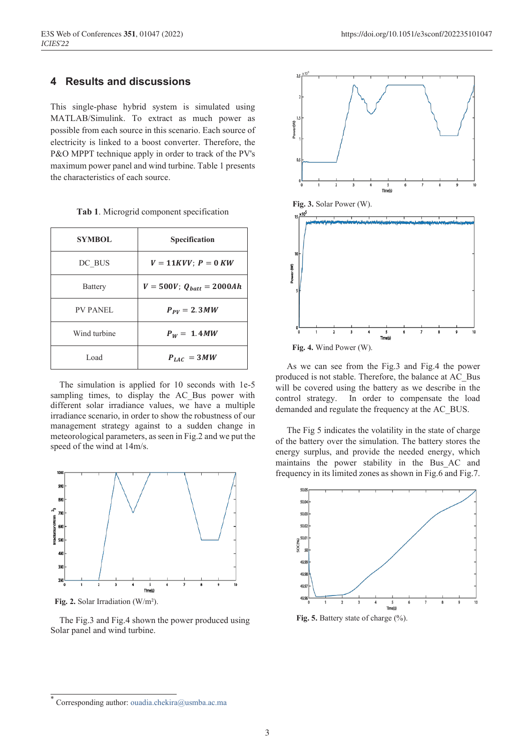## **4 Results and discussions**

This single-phase hybrid system is simulated using MATLAB/Simulink. To extract as much power as possible from each source in this scenario. Each source of electricity is linked to a boost converter. Therefore, the P&O MPPT technique apply in order to track of the PV's maximum power panel and wind turbine. Table 1 presents the characteristics of each source.

| <b>SYMBOL</b>   | <b>Specification</b>             |
|-----------------|----------------------------------|
| DC BUS          | $V = 11KVV$ ; $P = 0KW$          |
| <b>Battery</b>  | $V = 500V$ ; $Q_{batt} = 2000Ah$ |
| <b>PV PANEL</b> | $P_{PV} = 2.3 MW$                |
| Wind turbine    | $P_W = 1.4 MW$                   |
| Load            | $P_{LAC} = 3MW$                  |

**Tab 1**. Microgrid component specification

 The simulation is applied for 10 seconds with 1e-5 sampling times, to display the AC Bus power with different solar irradiance values, we have a multiple irradiance scenario, in order to show the robustness of our management strategy against to a sudden change in meteorological parameters, as seen in Fig.2 and we put the speed of the wind at 14m/s.



 **Fig. 2.** Solar Irradiation (W/m²).

 The Fig.3 and Fig.4 shown the power produced using Solar panel and wind turbine.



 As we can see from the Fig.3 and Fig.4 the power produced is not stable. Therefore, the balance at AC\_Bus will be covered using the battery as we describe in the control strategy. In order to compensate the load demanded and regulate the frequency at the AC\_BUS.

 The Fig 5 indicates the volatility in the state of charge of the battery over the simulation. The battery stores the energy surplus, and provide the needed energy, which maintains the power stability in the Bus\_AC and frequency in its limited zones as shown in Fig.6 and Fig.7.



Fig. 5. Battery state of charge  $\left(\frac{0}{0}\right)$ .

Corresponding author: ouadia.chekira@usmba.ac.ma